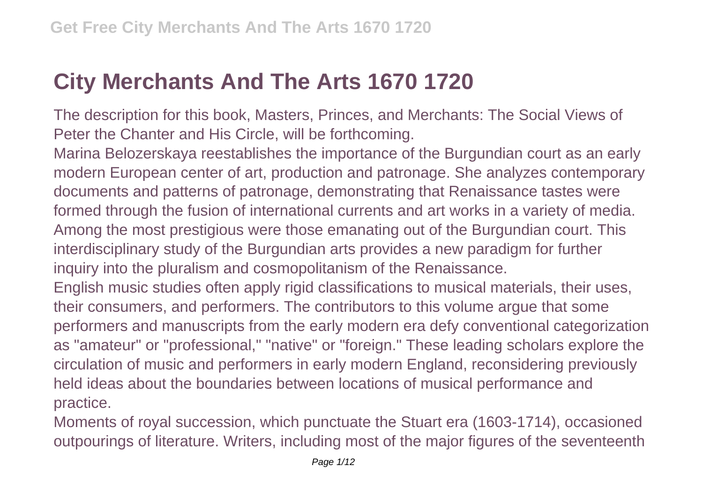## **City Merchants And The Arts 1670 1720**

The description for this book, Masters, Princes, and Merchants: The Social Views of Peter the Chanter and His Circle, will be forthcoming.

Marina Belozerskaya reestablishes the importance of the Burgundian court as an early modern European center of art, production and patronage. She analyzes contemporary documents and patterns of patronage, demonstrating that Renaissance tastes were formed through the fusion of international currents and art works in a variety of media. Among the most prestigious were those emanating out of the Burgundian court. This interdisciplinary study of the Burgundian arts provides a new paradigm for further inquiry into the pluralism and cosmopolitanism of the Renaissance.

English music studies often apply rigid classifications to musical materials, their uses, their consumers, and performers. The contributors to this volume argue that some performers and manuscripts from the early modern era defy conventional categorization as "amateur" or "professional," "native" or "foreign." These leading scholars explore the circulation of music and performers in early modern England, reconsidering previously held ideas about the boundaries between locations of musical performance and practice.

Moments of royal succession, which punctuate the Stuart era (1603-1714), occasioned outpourings of literature. Writers, including most of the major figures of the seventeenth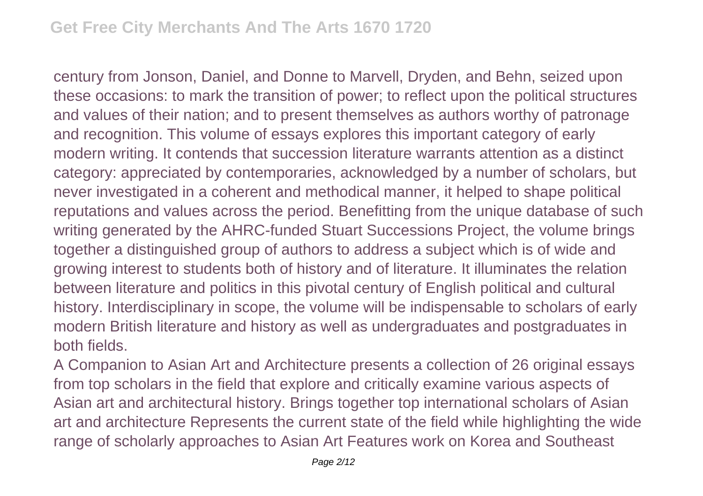century from Jonson, Daniel, and Donne to Marvell, Dryden, and Behn, seized upon these occasions: to mark the transition of power; to reflect upon the political structures and values of their nation; and to present themselves as authors worthy of patronage and recognition. This volume of essays explores this important category of early modern writing. It contends that succession literature warrants attention as a distinct category: appreciated by contemporaries, acknowledged by a number of scholars, but never investigated in a coherent and methodical manner, it helped to shape political reputations and values across the period. Benefitting from the unique database of such writing generated by the AHRC-funded Stuart Successions Project, the volume brings together a distinguished group of authors to address a subject which is of wide and growing interest to students both of history and of literature. It illuminates the relation between literature and politics in this pivotal century of English political and cultural history. Interdisciplinary in scope, the volume will be indispensable to scholars of early modern British literature and history as well as undergraduates and postgraduates in both fields.

A Companion to Asian Art and Architecture presents a collection of 26 original essays from top scholars in the field that explore and critically examine various aspects of Asian art and architectural history. Brings together top international scholars of Asian art and architecture Represents the current state of the field while highlighting the wide range of scholarly approaches to Asian Art Features work on Korea and Southeast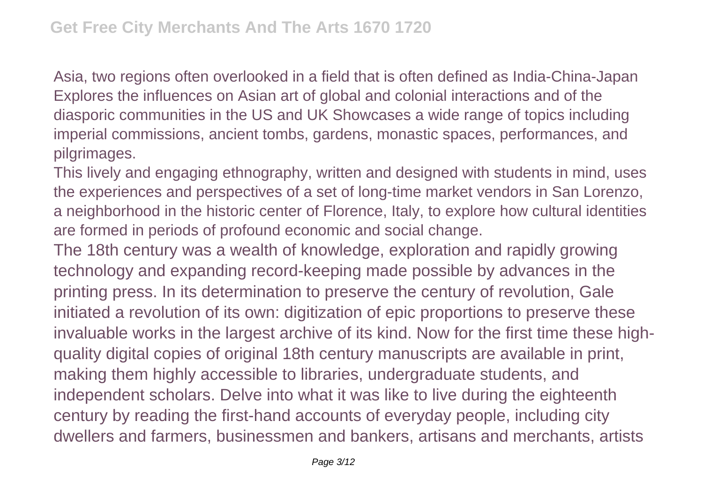Asia, two regions often overlooked in a field that is often defined as India-China-Japan Explores the influences on Asian art of global and colonial interactions and of the diasporic communities in the US and UK Showcases a wide range of topics including imperial commissions, ancient tombs, gardens, monastic spaces, performances, and pilgrimages.

This lively and engaging ethnography, written and designed with students in mind, uses the experiences and perspectives of a set of long-time market vendors in San Lorenzo, a neighborhood in the historic center of Florence, Italy, to explore how cultural identities are formed in periods of profound economic and social change.

The 18th century was a wealth of knowledge, exploration and rapidly growing technology and expanding record-keeping made possible by advances in the printing press. In its determination to preserve the century of revolution, Gale initiated a revolution of its own: digitization of epic proportions to preserve these invaluable works in the largest archive of its kind. Now for the first time these highquality digital copies of original 18th century manuscripts are available in print, making them highly accessible to libraries, undergraduate students, and independent scholars. Delve into what it was like to live during the eighteenth century by reading the first-hand accounts of everyday people, including city dwellers and farmers, businessmen and bankers, artisans and merchants, artists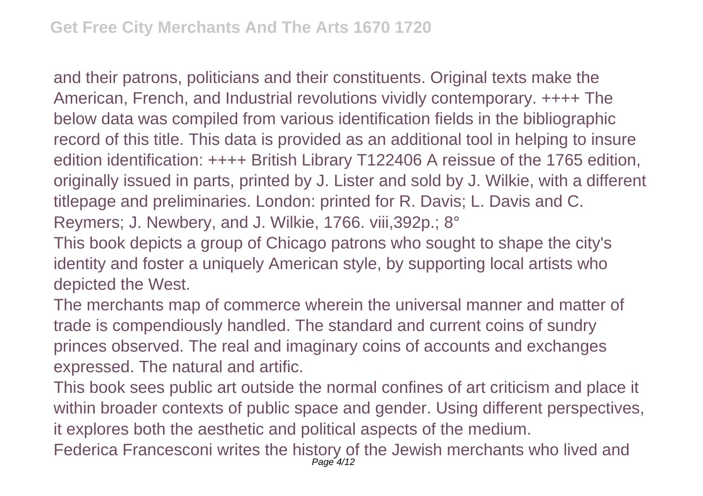and their patrons, politicians and their constituents. Original texts make the American, French, and Industrial revolutions vividly contemporary. ++++ The below data was compiled from various identification fields in the bibliographic record of this title. This data is provided as an additional tool in helping to insure edition identification: ++++ British Library T122406 A reissue of the 1765 edition, originally issued in parts, printed by J. Lister and sold by J. Wilkie, with a different titlepage and preliminaries. London: printed for R. Davis; L. Davis and C. Reymers; J. Newbery, and J. Wilkie, 1766. viii,392p.; 8°

This book depicts a group of Chicago patrons who sought to shape the city's identity and foster a uniquely American style, by supporting local artists who depicted the West.

The merchants map of commerce wherein the universal manner and matter of trade is compendiously handled. The standard and current coins of sundry princes observed. The real and imaginary coins of accounts and exchanges expressed. The natural and artific.

This book sees public art outside the normal confines of art criticism and place it within broader contexts of public space and gender. Using different perspectives, it explores both the aesthetic and political aspects of the medium.

Federica Francesconi writes the history of the Jewish merchants who lived and Page 4/12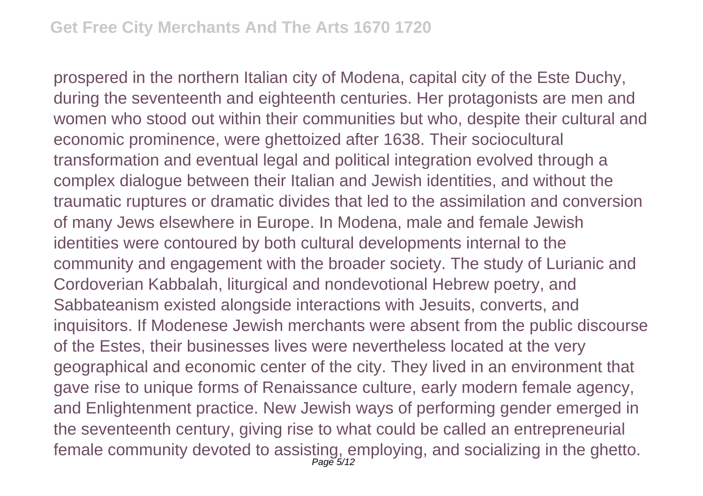prospered in the northern Italian city of Modena, capital city of the Este Duchy, during the seventeenth and eighteenth centuries. Her protagonists are men and women who stood out within their communities but who, despite their cultural and economic prominence, were ghettoized after 1638. Their sociocultural transformation and eventual legal and political integration evolved through a complex dialogue between their Italian and Jewish identities, and without the traumatic ruptures or dramatic divides that led to the assimilation and conversion of many Jews elsewhere in Europe. In Modena, male and female Jewish identities were contoured by both cultural developments internal to the community and engagement with the broader society. The study of Lurianic and Cordoverian Kabbalah, liturgical and nondevotional Hebrew poetry, and Sabbateanism existed alongside interactions with Jesuits, converts, and inquisitors. If Modenese Jewish merchants were absent from the public discourse of the Estes, their businesses lives were nevertheless located at the very geographical and economic center of the city. They lived in an environment that gave rise to unique forms of Renaissance culture, early modern female agency, and Enlightenment practice. New Jewish ways of performing gender emerged in the seventeenth century, giving rise to what could be called an entrepreneurial female community devoted to assisting, employing, and socializing in the ghetto. Page 5/12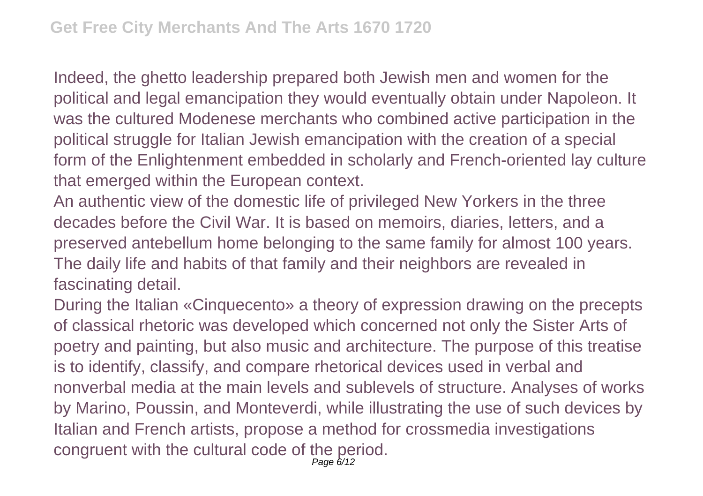Indeed, the ghetto leadership prepared both Jewish men and women for the political and legal emancipation they would eventually obtain under Napoleon. It was the cultured Modenese merchants who combined active participation in the political struggle for Italian Jewish emancipation with the creation of a special form of the Enlightenment embedded in scholarly and French-oriented lay culture that emerged within the European context.

An authentic view of the domestic life of privileged New Yorkers in the three decades before the Civil War. It is based on memoirs, diaries, letters, and a preserved antebellum home belonging to the same family for almost 100 years. The daily life and habits of that family and their neighbors are revealed in fascinating detail.

During the Italian «Cinquecento» a theory of expression drawing on the precepts of classical rhetoric was developed which concerned not only the Sister Arts of poetry and painting, but also music and architecture. The purpose of this treatise is to identify, classify, and compare rhetorical devices used in verbal and nonverbal media at the main levels and sublevels of structure. Analyses of works by Marino, Poussin, and Monteverdi, while illustrating the use of such devices by Italian and French artists, propose a method for crossmedia investigations congruent with the cultural code of the period.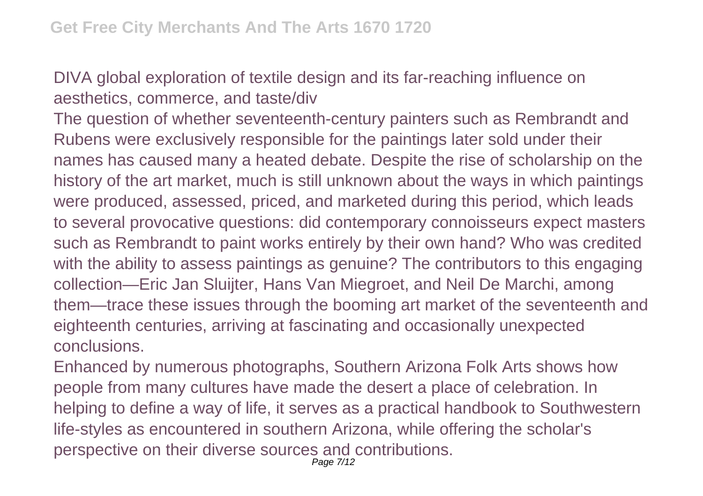DIVA global exploration of textile design and its far-reaching influence on aesthetics, commerce, and taste/div

The question of whether seventeenth-century painters such as Rembrandt and Rubens were exclusively responsible for the paintings later sold under their names has caused many a heated debate. Despite the rise of scholarship on the history of the art market, much is still unknown about the ways in which paintings were produced, assessed, priced, and marketed during this period, which leads to several provocative questions: did contemporary connoisseurs expect masters such as Rembrandt to paint works entirely by their own hand? Who was credited with the ability to assess paintings as genuine? The contributors to this engaging collection—Eric Jan Sluijter, Hans Van Miegroet, and Neil De Marchi, among them—trace these issues through the booming art market of the seventeenth and eighteenth centuries, arriving at fascinating and occasionally unexpected conclusions.

Enhanced by numerous photographs, Southern Arizona Folk Arts shows how people from many cultures have made the desert a place of celebration. In helping to define a way of life, it serves as a practical handbook to Southwestern life-styles as encountered in southern Arizona, while offering the scholar's perspective on their diverse sources and contributions.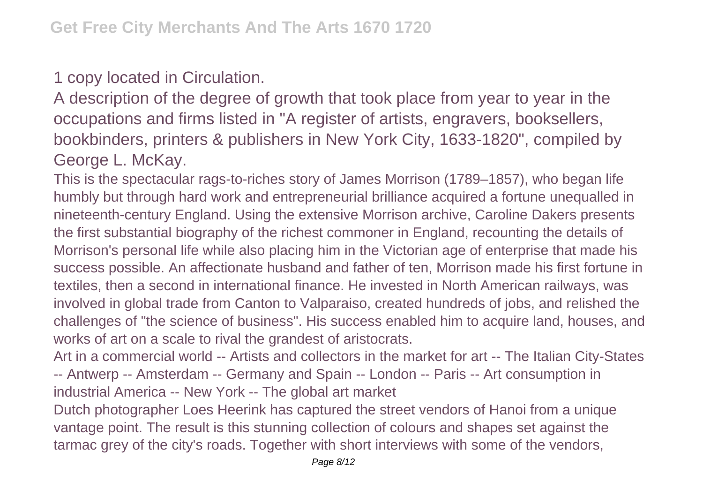## 1 copy located in Circulation.

A description of the degree of growth that took place from year to year in the occupations and firms listed in "A register of artists, engravers, booksellers, bookbinders, printers & publishers in New York City, 1633-1820", compiled by George L. McKay.

This is the spectacular rags-to-riches story of James Morrison (1789–1857), who began life humbly but through hard work and entrepreneurial brilliance acquired a fortune unequalled in nineteenth-century England. Using the extensive Morrison archive, Caroline Dakers presents the first substantial biography of the richest commoner in England, recounting the details of Morrison's personal life while also placing him in the Victorian age of enterprise that made his success possible. An affectionate husband and father of ten, Morrison made his first fortune in textiles, then a second in international finance. He invested in North American railways, was involved in global trade from Canton to Valparaiso, created hundreds of jobs, and relished the challenges of "the science of business". His success enabled him to acquire land, houses, and works of art on a scale to rival the grandest of aristocrats.

Art in a commercial world -- Artists and collectors in the market for art -- The Italian City-States -- Antwerp -- Amsterdam -- Germany and Spain -- London -- Paris -- Art consumption in industrial America -- New York -- The global art market

Dutch photographer Loes Heerink has captured the street vendors of Hanoi from a unique vantage point. The result is this stunning collection of colours and shapes set against the tarmac grey of the city's roads. Together with short interviews with some of the vendors,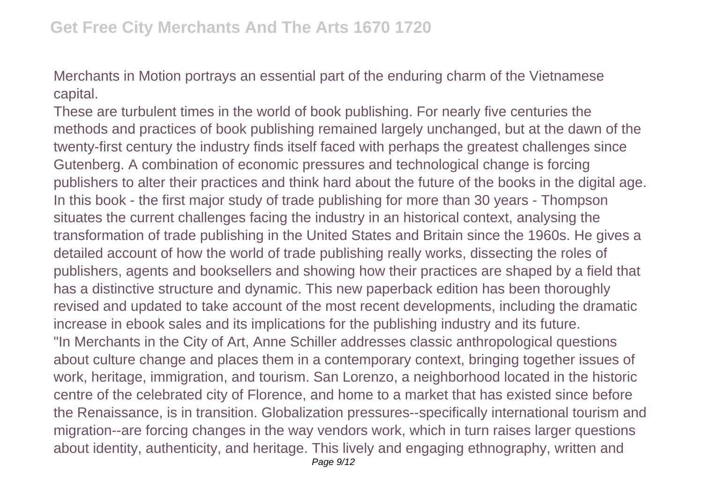Merchants in Motion portrays an essential part of the enduring charm of the Vietnamese capital.

These are turbulent times in the world of book publishing. For nearly five centuries the methods and practices of book publishing remained largely unchanged, but at the dawn of the twenty-first century the industry finds itself faced with perhaps the greatest challenges since Gutenberg. A combination of economic pressures and technological change is forcing publishers to alter their practices and think hard about the future of the books in the digital age. In this book - the first major study of trade publishing for more than 30 years - Thompson situates the current challenges facing the industry in an historical context, analysing the transformation of trade publishing in the United States and Britain since the 1960s. He gives a detailed account of how the world of trade publishing really works, dissecting the roles of publishers, agents and booksellers and showing how their practices are shaped by a field that has a distinctive structure and dynamic. This new paperback edition has been thoroughly revised and updated to take account of the most recent developments, including the dramatic increase in ebook sales and its implications for the publishing industry and its future. "In Merchants in the City of Art, Anne Schiller addresses classic anthropological questions about culture change and places them in a contemporary context, bringing together issues of work, heritage, immigration, and tourism. San Lorenzo, a neighborhood located in the historic centre of the celebrated city of Florence, and home to a market that has existed since before the Renaissance, is in transition. Globalization pressures--specifically international tourism and migration--are forcing changes in the way vendors work, which in turn raises larger questions about identity, authenticity, and heritage. This lively and engaging ethnography, written and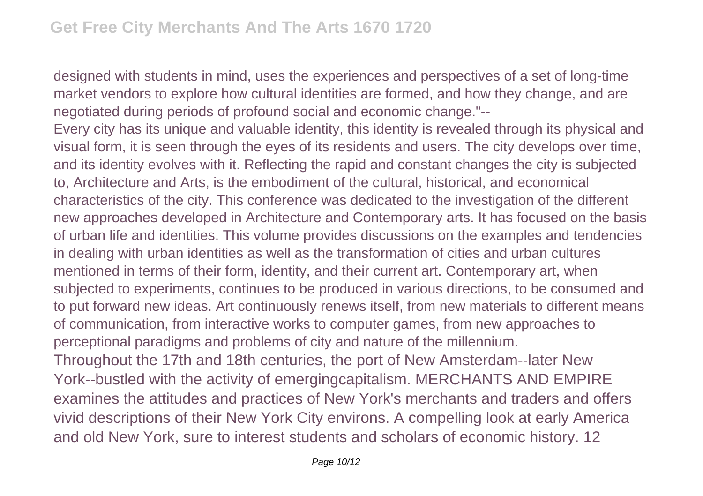designed with students in mind, uses the experiences and perspectives of a set of long-time market vendors to explore how cultural identities are formed, and how they change, and are negotiated during periods of profound social and economic change."--

Every city has its unique and valuable identity, this identity is revealed through its physical and visual form, it is seen through the eyes of its residents and users. The city develops over time, and its identity evolves with it. Reflecting the rapid and constant changes the city is subjected to, Architecture and Arts, is the embodiment of the cultural, historical, and economical characteristics of the city. This conference was dedicated to the investigation of the different new approaches developed in Architecture and Contemporary arts. It has focused on the basis of urban life and identities. This volume provides discussions on the examples and tendencies in dealing with urban identities as well as the transformation of cities and urban cultures mentioned in terms of their form, identity, and their current art. Contemporary art, when subjected to experiments, continues to be produced in various directions, to be consumed and to put forward new ideas. Art continuously renews itself, from new materials to different means of communication, from interactive works to computer games, from new approaches to perceptional paradigms and problems of city and nature of the millennium.

Throughout the 17th and 18th centuries, the port of New Amsterdam--later New York--bustled with the activity of emergingcapitalism. MERCHANTS AND EMPIRE examines the attitudes and practices of New York's merchants and traders and offers vivid descriptions of their New York City environs. A compelling look at early America and old New York, sure to interest students and scholars of economic history. 12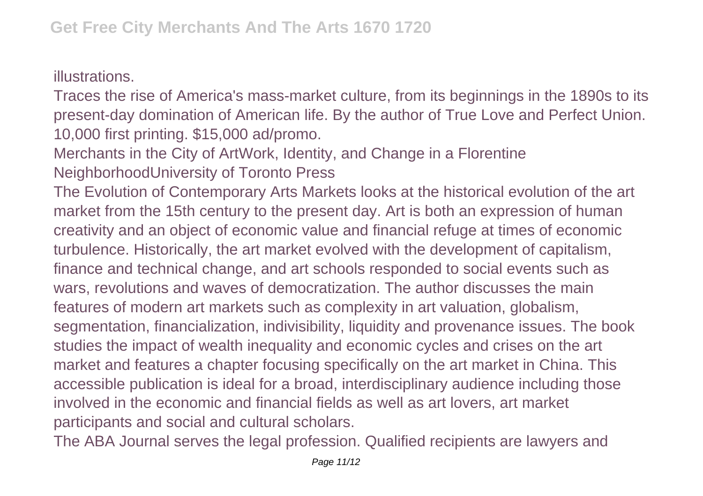illustrations.

Traces the rise of America's mass-market culture, from its beginnings in the 1890s to its present-day domination of American life. By the author of True Love and Perfect Union. 10,000 first printing. \$15,000 ad/promo.

Merchants in the City of ArtWork, Identity, and Change in a Florentine NeighborhoodUniversity of Toronto Press

The Evolution of Contemporary Arts Markets looks at the historical evolution of the art market from the 15th century to the present day. Art is both an expression of human creativity and an object of economic value and financial refuge at times of economic turbulence. Historically, the art market evolved with the development of capitalism, finance and technical change, and art schools responded to social events such as wars, revolutions and waves of democratization. The author discusses the main features of modern art markets such as complexity in art valuation, globalism, segmentation, financialization, indivisibility, liquidity and provenance issues. The book studies the impact of wealth inequality and economic cycles and crises on the art market and features a chapter focusing specifically on the art market in China. This accessible publication is ideal for a broad, interdisciplinary audience including those involved in the economic and financial fields as well as art lovers, art market participants and social and cultural scholars.

The ABA Journal serves the legal profession. Qualified recipients are lawyers and